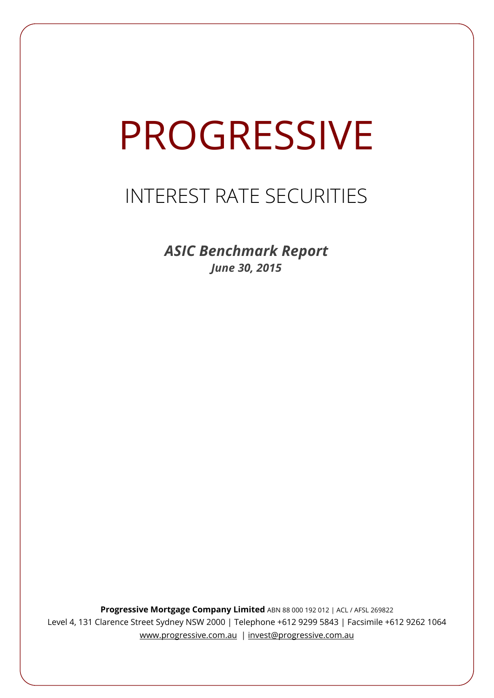# **PROGRESSIVE**

## INTEREST RATE SECURITIES

*ASIC Benchmark Report June 30, 2015*

**Progressive Mortgage Company Limited** ABN 88 000 192 012 | ACL / AFSL 269822 Level 4, 131 Clarence Street Sydney NSW 2000 | Telephone +612 9299 5843 | Facsimile +612 9262 1064 www.progressive.com.au | invest@progressive.com.au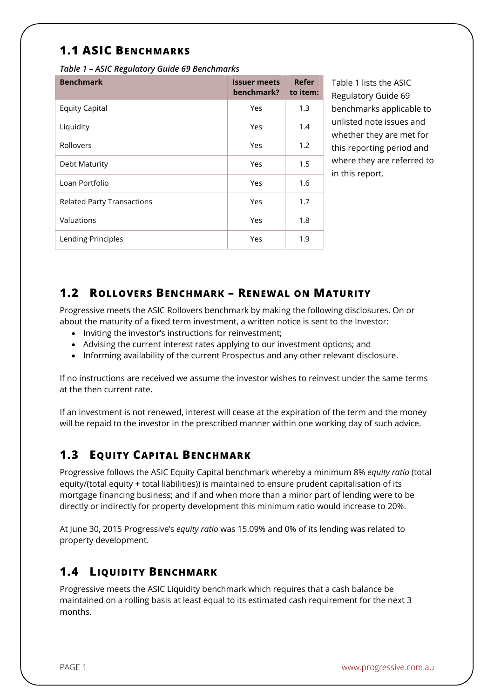### **1.1 ASIC BENCHMARKS**

*Table 1 – ASIC Regulatory Guide 69 Benchmarks* 

| <b>Benchmark</b>                  | <b>Issuer meets</b><br>benchmark? | Refer<br>to item: |
|-----------------------------------|-----------------------------------|-------------------|
| <b>Equity Capital</b>             | Yes                               | 1.3               |
| Liquidity                         | Yes                               | 1.4               |
| Rollovers                         | Yes                               | 1.2               |
| Debt Maturity                     | Yes                               | 1.5               |
| Loan Portfolio                    | Yes                               | 1.6               |
| <b>Related Party Transactions</b> | Yes                               | 1.7               |
| Valuations                        | Yes                               | 1.8               |
| Lending Principles                | Yes                               | 1.9               |

Table 1 lists the ASIC Regulatory Guide 69 benchmarks applicable to unlisted note issues and whether they are met for this reporting period and where they are referred to in this report.

#### **1.2 ROLLOVERS BENCHMARK – RENEWAL ON MATURITY**

Progressive meets the ASIC Rollovers benchmark by making the following disclosures. On or about the maturity of a fixed term investment, a written notice is sent to the Investor:

- Inviting the investor's instructions for reinvestment;
- Advising the current interest rates applying to our investment options; and
- Informing availability of the current Prospectus and any other relevant disclosure.

If no instructions are received we assume the investor wishes to reinvest under the same terms at the then current rate.

If an investment is not renewed, interest will cease at the expiration of the term and the money will be repaid to the investor in the prescribed manner within one working day of such advice.

#### **1.3 EQUITY CAPITAL BENCHMARK**

Progressive follows the ASIC Equity Capital benchmark whereby a minimum 8% *equity ratio* (total equity/(total equity + total liabilities)) is maintained to ensure prudent capitalisation of its mortgage financing business; and if and when more than a minor part of lending were to be directly or indirectly for property development this minimum ratio would increase to 20%.

At June 30, 2015 Progressive's *equity ratio* was 15.09% and 0% of its lending was related to property development.

#### **1.4 LIQUIDITY BENCHMARK**

Progressive meets the ASIC Liquidity benchmark which requires that a cash balance be maintained on a rolling basis at least equal to its estimated cash requirement for the next 3 months.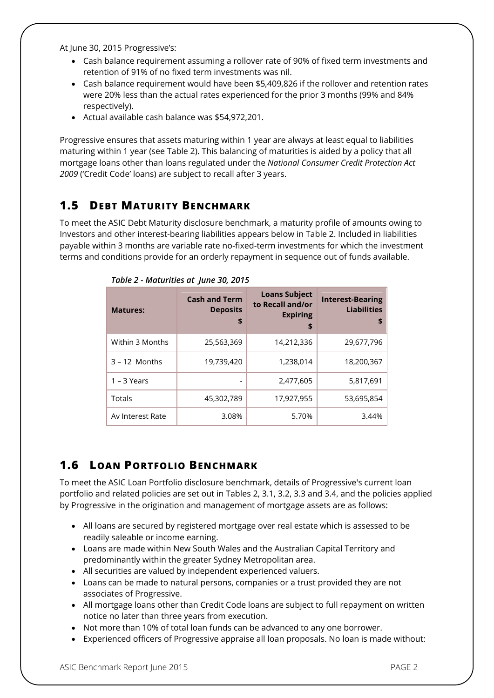At June 30, 2015 Progressive's:

- Cash balance requirement assuming a rollover rate of 90% of fixed term investments and retention of 91% of no fixed term investments was nil.
- Cash balance requirement would have been \$5,409,826 if the rollover and retention rates were 20% less than the actual rates experienced for the prior 3 months (99% and 84% respectively).
- Actual available cash balance was \$54,972,201.

Progressive ensures that assets maturing within 1 year are always at least equal to liabilities maturing within 1 year (see Table 2). This balancing of maturities is aided by a policy that all mortgage loans other than loans regulated under the *National Consumer Credit Protection Act 2009* ('Credit Code' loans) are subject to recall after 3 years.

#### **1.5 DEBT MATURITY BENCHMARK**

To meet the ASIC Debt Maturity disclosure benchmark, a maturity profile of amounts owing to Investors and other interest-bearing liabilities appears below in Table 2. Included in liabilities payable within 3 months are variable rate no-fixed-term investments for which the investment terms and conditions provide for an orderly repayment in sequence out of funds available.

| <b>Matures:</b>  | <b>Cash and Term</b><br><b>Deposits</b><br>\$ | <b>Loans Subject</b><br>to Recall and/or<br><b>Expiring</b><br>\$ | <b>Interest-Bearing</b><br><b>Liabilities</b><br>\$ |
|------------------|-----------------------------------------------|-------------------------------------------------------------------|-----------------------------------------------------|
| Within 3 Months  | 25,563,369                                    | 14,212,336                                                        | 29,677,796                                          |
| $3 - 12$ Months  | 19,739,420                                    | 1,238,014                                                         | 18,200,367                                          |
| $1 - 3$ Years    | -                                             | 2,477,605                                                         | 5,817,691                                           |
| Totals           | 45,302,789                                    | 17,927,955                                                        | 53,695,854                                          |
| Av Interest Rate | 3.08%                                         | 5.70%                                                             | 3.44%                                               |

*Table 2 - Maturities at June 30, 2015*

#### **1.6 LOAN PORTFOLIO BENCHMARK**

To meet the ASIC Loan Portfolio disclosure benchmark, details of Progressive's current loan portfolio and related policies are set out in Tables 2, 3.1, 3.2, 3.3 and 3.4, and the policies applied by Progressive in the origination and management of mortgage assets are as follows:

- All loans are secured by registered mortgage over real estate which is assessed to be readily saleable or income earning.
- Loans are made within New South Wales and the Australian Capital Territory and predominantly within the greater Sydney Metropolitan area.
- All securities are valued by independent experienced valuers.
- Loans can be made to natural persons, companies or a trust provided they are not associates of Progressive.
- All mortgage loans other than Credit Code loans are subject to full repayment on written notice no later than three years from execution.
- Not more than 10% of total loan funds can be advanced to any one borrower.
- Experienced officers of Progressive appraise all loan proposals. No loan is made without: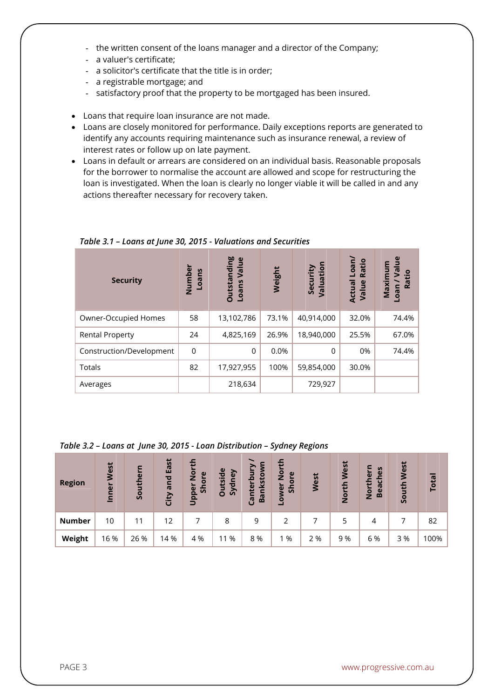- the written consent of the loans manager and a director of the Company;
- a valuer's certificate;
- a solicitor's certificate that the title is in order;
- a registrable mortgage; and
- satisfactory proof that the property to be mortgaged has been insured.
- Loans that require loan insurance are not made.
- Loans are closely monitored for performance. Daily exceptions reports are generated to identify any accounts requiring maintenance such as insurance renewal, a review of interest rates or follow up on late payment.
- Loans in default or arrears are considered on an individual basis. Reasonable proposals for the borrower to normalise the account are allowed and scope for restructuring the loan is investigated. When the loan is clearly no longer viable it will be called in and any actions thereafter necessary for recovery taken.

| <b>Security</b>          | Number<br>ns<br>Loa | <b>Outstanding</b><br>Value<br>Loans | Weight | Security<br>Valuation | Loan/<br>Ratio<br>Actual<br>Value | $\frac{e}{1}$<br>$\overline{\mathbf{a}}$<br>Maximu<br>Ratio<br>oan |
|--------------------------|---------------------|--------------------------------------|--------|-----------------------|-----------------------------------|--------------------------------------------------------------------|
| Owner-Occupied Homes     | 58                  | 13,102,786                           | 73.1%  | 40,914,000            | 32.0%                             | 74.4%                                                              |
| <b>Rental Property</b>   | 24                  | 4,825,169                            | 26.9%  | 18,940,000            | 25.5%                             | 67.0%                                                              |
| Construction/Development | $\mathbf 0$         | 0                                    | 0.0%   | 0                     | 0%                                | 74.4%                                                              |
| Totals                   | 82                  | 17,927,955                           | 100%   | 59,854,000            | 30.0%                             |                                                                    |
| Averages                 |                     | 218,634                              |        | 729,927               |                                   |                                                                    |

*Table 3.1 – Loans at June 30, 2015 - Valuations and Securities*

|  |  | Table 3.2 - Loans at June 30, 2015 - Loan Distribution - Sydney Regions |  |
|--|--|-------------------------------------------------------------------------|--|
|--|--|-------------------------------------------------------------------------|--|

| <b>Region</b> | lest<br>Inner | Ε<br>Southe | East<br>and<br>City | o<br>$\overline{2}$<br>$\mathbf{v}$<br>ă<br>$\overline{5}$<br>Uppel | utside<br>ney<br>Syd<br>O | ►<br>nkstor<br>$\mathbf{\Omega}$<br>nter<br>$\overline{B}$<br>ී | 든<br>$\overline{2}$<br>$\mathbf{\omega}$<br>$\overline{5}$<br>Lower<br>$\tilde{5}$ | West | West<br>옵<br>$\frac{1}{2}$ | ပ္စ<br>$\mathbf{r}$<br>$\bar{\mathbf{e}}$<br>£<br>$\overline{v}$<br>σ<br>Nor<br>Be | West<br>uth<br><u>So</u> | <b>Total</b> |
|---------------|---------------|-------------|---------------------|---------------------------------------------------------------------|---------------------------|-----------------------------------------------------------------|------------------------------------------------------------------------------------|------|----------------------------|------------------------------------------------------------------------------------|--------------------------|--------------|
| <b>Number</b> | 10            |             | 12                  |                                                                     | 8                         | 9                                                               |                                                                                    |      |                            | 4                                                                                  |                          | 82           |
| Weight        | 16 %          | 26 %        | 14 %                | 4 %                                                                 | %<br>11                   | 8 %                                                             | 1 %                                                                                | 2 %  | 9 %                        | 6 %                                                                                | 3 %                      | 100%         |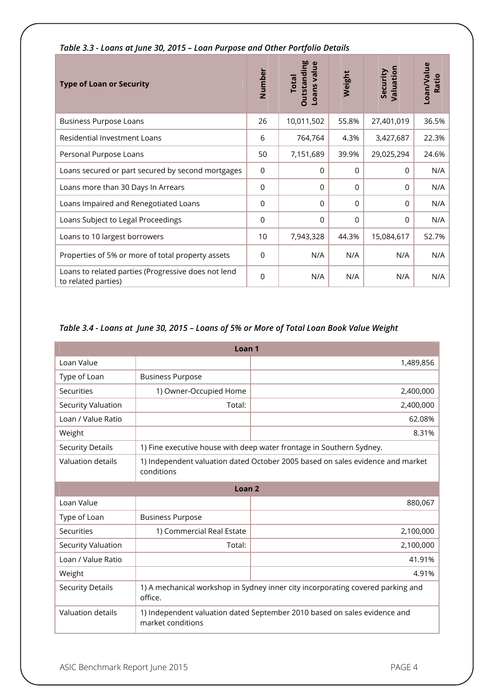| <b>Type of Loan or Security</b>                                            | Number         | <b>Outstanding</b><br>ans value<br><b>Total</b><br>ق | Weight      | Valuation<br>Security | Loan/Value<br>Ratio |
|----------------------------------------------------------------------------|----------------|------------------------------------------------------|-------------|-----------------------|---------------------|
| <b>Business Purpose Loans</b>                                              | 26             | 10,011,502                                           | 55.8%       | 27,401,019            | 36.5%               |
| Residential Investment Loans                                               | 6              | 764,764                                              | 4.3%        | 3,427,687             | 22.3%               |
| Personal Purpose Loans                                                     | 50             | 7,151,689                                            | 39.9%       | 29,025,294            | 24.6%               |
| Loans secured or part secured by second mortgages                          | $\mathbf 0$    | $\Omega$                                             | 0           | $\Omega$              | N/A                 |
| Loans more than 30 Days In Arrears                                         | $\overline{0}$ | $\Omega$                                             | $\Omega$    | 0                     | N/A                 |
| Loans Impaired and Renegotiated Loans                                      | $\mathbf 0$    | $\mathbf 0$                                          | $\mathbf 0$ | 0                     | N/A                 |
| Loans Subject to Legal Proceedings                                         | $\mathbf 0$    | $\Omega$                                             | $\Omega$    | $\Omega$              | N/A                 |
| Loans to 10 largest borrowers                                              | 10             | 7,943,328                                            | 44.3%       | 15,084,617            | 52.7%               |
| Properties of 5% or more of total property assets                          | $\Omega$       | N/A                                                  | N/A         | N/A                   | N/A                 |
| Loans to related parties (Progressive does not lend<br>to related parties) | $\overline{0}$ | N/A                                                  | N/A         | N/A                   | N/A                 |

*Table 3.3 - Loans at June 30, 2015 – Loan Purpose and Other Portfolio Details* 

#### *Table 3.4 - Loans at June 30, 2015 – Loans of 5% or More of Total Loan Book Value Weight*

| Loan <sub>1</sub>        |                                                                                                |                                                                      |  |  |  |
|--------------------------|------------------------------------------------------------------------------------------------|----------------------------------------------------------------------|--|--|--|
| Loan Value               |                                                                                                | 1,489,856                                                            |  |  |  |
| Type of Loan             | <b>Business Purpose</b>                                                                        |                                                                      |  |  |  |
| Securities               | 1) Owner-Occupied Home                                                                         | 2,400,000                                                            |  |  |  |
| Security Valuation       | Total:                                                                                         | 2,400,000                                                            |  |  |  |
| Loan / Value Ratio       |                                                                                                | 62.08%                                                               |  |  |  |
| Weight                   |                                                                                                | 8.31%                                                                |  |  |  |
| <b>Security Details</b>  |                                                                                                | 1) Fine executive house with deep water frontage in Southern Sydney. |  |  |  |
| <b>Valuation details</b> | 1) Independent valuation dated October 2005 based on sales evidence and market<br>conditions   |                                                                      |  |  |  |
| Loan <sub>2</sub>        |                                                                                                |                                                                      |  |  |  |
| Loan Value               |                                                                                                | 880,067                                                              |  |  |  |
| Type of Loan             | <b>Business Purpose</b>                                                                        |                                                                      |  |  |  |
| Securities               | 1) Commercial Real Estate                                                                      | 2,100,000                                                            |  |  |  |
| Security Valuation       | Total:                                                                                         | 2,100,000                                                            |  |  |  |
| Loan / Value Ratio       |                                                                                                | 41.91%                                                               |  |  |  |
| Weight                   |                                                                                                | 4.91%                                                                |  |  |  |
| <b>Security Details</b>  | 1) A mechanical workshop in Sydney inner city incorporating covered parking and<br>office.     |                                                                      |  |  |  |
| Valuation details        | 1) Independent valuation dated September 2010 based on sales evidence and<br>market conditions |                                                                      |  |  |  |